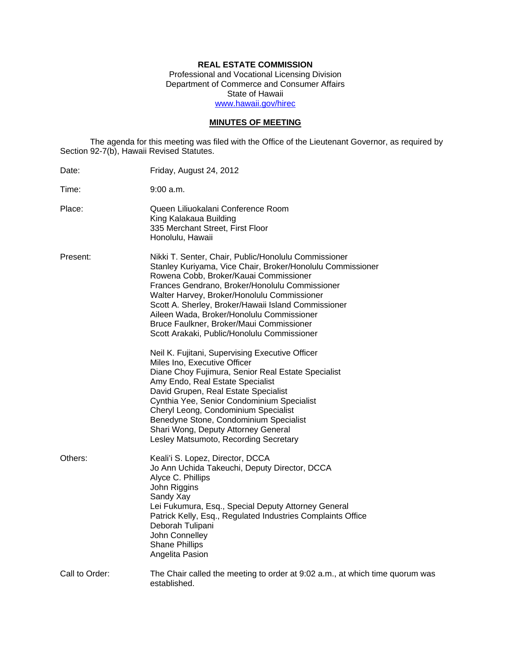# **REAL ESTATE COMMISSION**

Professional and Vocational Licensing Division Department of Commerce and Consumer Affairs State of Hawaii www.hawaii.gov/hirec

# **MINUTES OF MEETING**

The agenda for this meeting was filed with the Office of the Lieutenant Governor, as required by Section 92-7(b), Hawaii Revised Statutes.

| Date:          | Friday, August 24, 2012                                                                                                                                                                                                                                                                                                                                                                                                                                      |
|----------------|--------------------------------------------------------------------------------------------------------------------------------------------------------------------------------------------------------------------------------------------------------------------------------------------------------------------------------------------------------------------------------------------------------------------------------------------------------------|
| Time:          | 9:00 a.m.                                                                                                                                                                                                                                                                                                                                                                                                                                                    |
| Place:         | Queen Liliuokalani Conference Room<br>King Kalakaua Building<br>335 Merchant Street, First Floor<br>Honolulu, Hawaii                                                                                                                                                                                                                                                                                                                                         |
| Present:       | Nikki T. Senter, Chair, Public/Honolulu Commissioner<br>Stanley Kuriyama, Vice Chair, Broker/Honolulu Commissioner<br>Rowena Cobb, Broker/Kauai Commissioner<br>Frances Gendrano, Broker/Honolulu Commissioner<br>Walter Harvey, Broker/Honolulu Commissioner<br>Scott A. Sherley, Broker/Hawaii Island Commissioner<br>Aileen Wada, Broker/Honolulu Commissioner<br>Bruce Faulkner, Broker/Maui Commissioner<br>Scott Arakaki, Public/Honolulu Commissioner |
|                | Neil K. Fujitani, Supervising Executive Officer<br>Miles Ino, Executive Officer<br>Diane Choy Fujimura, Senior Real Estate Specialist<br>Amy Endo, Real Estate Specialist<br>David Grupen, Real Estate Specialist<br>Cynthia Yee, Senior Condominium Specialist<br>Cheryl Leong, Condominium Specialist<br>Benedyne Stone, Condominium Specialist<br>Shari Wong, Deputy Attorney General<br>Lesley Matsumoto, Recording Secretary                            |
| Others:        | Keali'i S. Lopez, Director, DCCA<br>Jo Ann Uchida Takeuchi, Deputy Director, DCCA<br>Alyce C. Phillips<br>John Riggins<br>Sandy Xay<br>Lei Fukumura, Esq., Special Deputy Attorney General<br>Patrick Kelly, Esq., Regulated Industries Complaints Office<br>Deborah Tulipani<br>John Connelley<br><b>Shane Phillips</b><br>Angelita Pasion                                                                                                                  |
| Call to Order: | The Chair called the meeting to order at 9:02 a.m., at which time quorum was<br>established.                                                                                                                                                                                                                                                                                                                                                                 |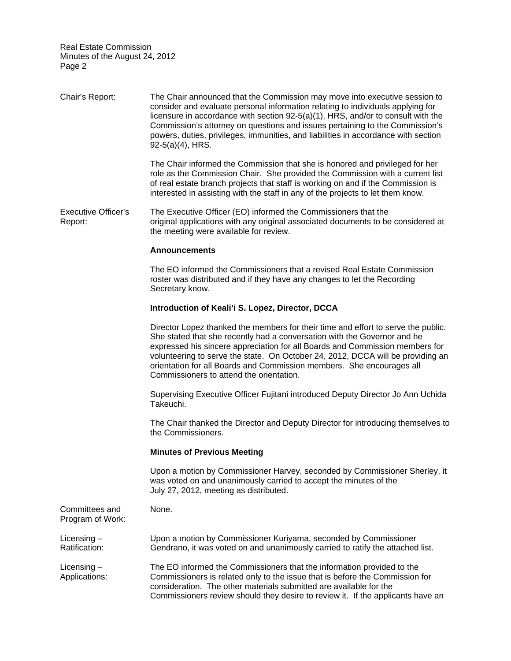Chair's Report: The Chair announced that the Commission may move into executive session to consider and evaluate personal information relating to individuals applying for licensure in accordance with section 92-5(a)(1), HRS, and/or to consult with the Commission's attorney on questions and issues pertaining to the Commission's powers, duties, privileges, immunities, and liabilities in accordance with section 92-5(a)(4), HRS.

> The Chair informed the Commission that she is honored and privileged for her role as the Commission Chair. She provided the Commission with a current list of real estate branch projects that staff is working on and if the Commission is interested in assisting with the staff in any of the projects to let them know.

Executive Officer's Report: The Executive Officer (EO) informed the Commissioners that the original applications with any original associated documents to be considered at the meeting were available for review.

## **Announcements**

The EO informed the Commissioners that a revised Real Estate Commission roster was distributed and if they have any changes to let the Recording Secretary know.

# **Introduction of Keali'i S. Lopez, Director, DCCA**

Director Lopez thanked the members for their time and effort to serve the public.<br>She stated that she recently had a conversation with the Governor and he expressed his sincere appreciation for all Boards and Commission members for volunteering to serve the state. On October 24, 2012, DCCA will be providing an orientation for all Boards and Commission members. She encourages all Commissioners to attend the orientation.

Supervising Executive Officer Fujitani introduced Deputy Director Jo Ann Uchida Takeuchi.

The Chair thanked the Director and Deputy Director for introducing themselves to the Commissioners.

### **Minutes of Previous Meeting**

Upon a motion by Commissioner Harvey, seconded by Commissioner Sherley, it was voted on and unanimously carried to accept the minutes of the July 27, 2012, meeting as distributed.

| Committees and<br>Program of Work: | None.                                                                                                                                                                                                                                                                                                           |
|------------------------------------|-----------------------------------------------------------------------------------------------------------------------------------------------------------------------------------------------------------------------------------------------------------------------------------------------------------------|
| $Licensing -$<br>Ratification:     | Upon a motion by Commissioner Kuriyama, seconded by Commissioner<br>Gendrano, it was voted on and unanimously carried to ratify the attached list.                                                                                                                                                              |
| Licensing $-$<br>Applications:     | The EO informed the Commissioners that the information provided to the<br>Commissioners is related only to the issue that is before the Commission for<br>consideration. The other materials submitted are available for the<br>Commissioners review should they desire to review it. If the applicants have an |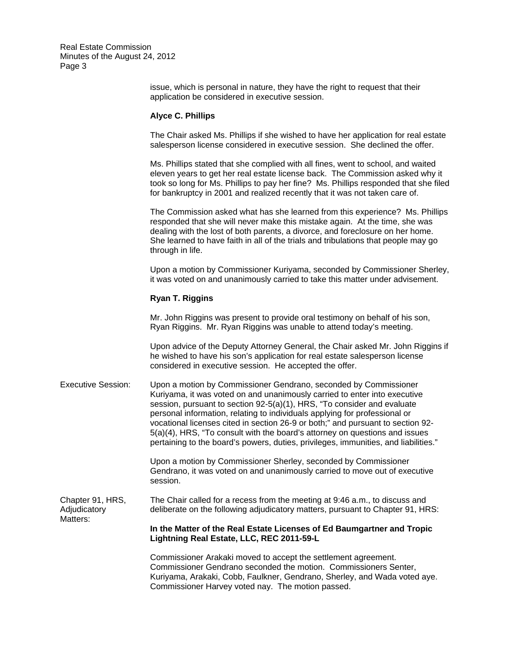> issue, which is personal in nature, they have the right to request that their application be considered in executive session.

#### **Alyce C. Phillips**

The Chair asked Ms. Phillips if she wished to have her application for real estate salesperson license considered in executive session. She declined the offer.

Ms. Phillips stated that she complied with all fines, went to school, and waited eleven years to get her real estate license back. The Commission asked why it took so long for Ms. Phillips to pay her fine? Ms. Phillips responded that she filed for bankruptcy in 2001 and realized recently that it was not taken care of.

The Commission asked what has she learned from this experience? Ms. Phillips responded that she will never make this mistake again. At the time, she was dealing with the lost of both parents, a divorce, and foreclosure on her home. She learned to have faith in all of the trials and tribulations that people may go through in life.

Upon a motion by Commissioner Kuriyama, seconded by Commissioner Sherley, it was voted on and unanimously carried to take this matter under advisement.

## **Ryan T. Riggins**

Mr. John Riggins was present to provide oral testimony on behalf of his son, Ryan Riggins. Mr. Ryan Riggins was unable to attend today's meeting.

Upon advice of the Deputy Attorney General, the Chair asked Mr. John Riggins if he wished to have his son's application for real estate salesperson license considered in executive session. He accepted the offer.

Executive Session: Upon a motion by Commissioner Gendrano, seconded by Commissioner Kuriyama, it was voted on and unanimously carried to enter into executive session, pursuant to section 92-5(a)(1), HRS, "To consider and evaluate personal information, relating to individuals applying for professional or vocational licenses cited in section 26-9 or both;" and pursuant to section 92- 5(a)(4), HRS, "To consult with the board's attorney on questions and issues pertaining to the board's powers, duties, privileges, immunities, and liabilities."

> Upon a motion by Commissioner Sherley, seconded by Commissioner Gendrano, it was voted on and unanimously carried to move out of executive session.

Adjudicatory Chapter 91, HRS, The Chair called for a recess from the meeting at 9:46 a.m., to discuss and deliberate on the following adjudicatory matters, pursuant to Chapter 91, HRS: Matters:

> **In the Matter of the Real Estate Licenses of Ed Baumgartner and Tropic Lightning Real Estate, LLC, REC 2011-59-L**

Commissioner Arakaki moved to accept the settlement agreement. Commissioner Gendrano seconded the motion. Commissioners Senter, Kuriyama, Arakaki, Cobb, Faulkner, Gendrano, Sherley, and Wada voted aye. Commissioner Harvey voted nay. The motion passed.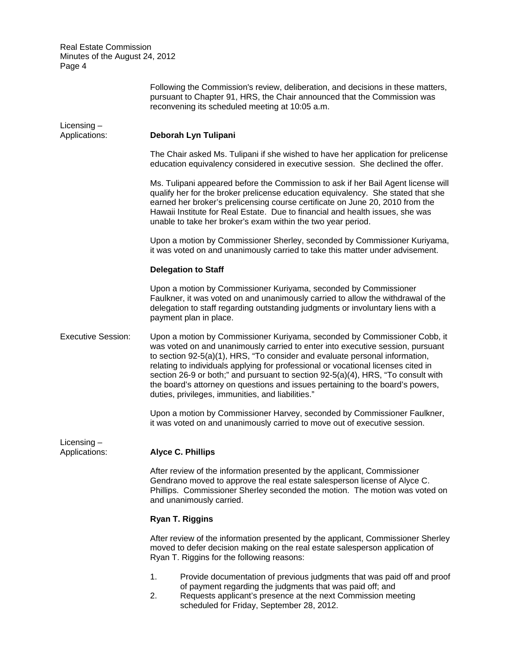|                                | Following the Commission's review, deliberation, and decisions in these matters,<br>pursuant to Chapter 91, HRS, the Chair announced that the Commission was<br>reconvening its scheduled meeting at 10:05 a.m.                                                                                                                                                                                                                                                                                                                                            |  |  |
|--------------------------------|------------------------------------------------------------------------------------------------------------------------------------------------------------------------------------------------------------------------------------------------------------------------------------------------------------------------------------------------------------------------------------------------------------------------------------------------------------------------------------------------------------------------------------------------------------|--|--|
| Licensing $-$<br>Applications: | Deborah Lyn Tulipani                                                                                                                                                                                                                                                                                                                                                                                                                                                                                                                                       |  |  |
|                                | The Chair asked Ms. Tulipani if she wished to have her application for prelicense<br>education equivalency considered in executive session. She declined the offer.                                                                                                                                                                                                                                                                                                                                                                                        |  |  |
|                                | Ms. Tulipani appeared before the Commission to ask if her Bail Agent license will<br>qualify her for the broker prelicense education equivalency. She stated that she<br>earned her broker's prelicensing course certificate on June 20, 2010 from the<br>Hawaii Institute for Real Estate. Due to financial and health issues, she was<br>unable to take her broker's exam within the two year period.                                                                                                                                                    |  |  |
|                                | Upon a motion by Commissioner Sherley, seconded by Commissioner Kuriyama,<br>it was voted on and unanimously carried to take this matter under advisement.                                                                                                                                                                                                                                                                                                                                                                                                 |  |  |
|                                | <b>Delegation to Staff</b>                                                                                                                                                                                                                                                                                                                                                                                                                                                                                                                                 |  |  |
|                                | Upon a motion by Commissioner Kuriyama, seconded by Commissioner<br>Faulkner, it was voted on and unanimously carried to allow the withdrawal of the<br>delegation to staff regarding outstanding judgments or involuntary liens with a<br>payment plan in place.                                                                                                                                                                                                                                                                                          |  |  |
| <b>Executive Session:</b>      | Upon a motion by Commissioner Kuriyama, seconded by Commissioner Cobb, it<br>was voted on and unanimously carried to enter into executive session, pursuant<br>to section 92-5(a)(1), HRS, "To consider and evaluate personal information,<br>relating to individuals applying for professional or vocational licenses cited in<br>section 26-9 or both;" and pursuant to section 92-5(a)(4), HRS, "To consult with<br>the board's attorney on questions and issues pertaining to the board's powers,<br>duties, privileges, immunities, and liabilities." |  |  |
|                                | Upon a motion by Commissioner Harvey, seconded by Commissioner Faulkner,<br>it was voted on and unanimously carried to move out of executive session.                                                                                                                                                                                                                                                                                                                                                                                                      |  |  |
| Licensing $-$<br>Applications: | <b>Alyce C. Phillips</b>                                                                                                                                                                                                                                                                                                                                                                                                                                                                                                                                   |  |  |
|                                | After review of the information presented by the applicant, Commissioner<br>Gendrano moved to approve the real estate salesperson license of Alyce C.<br>Phillips. Commissioner Sherley seconded the motion. The motion was voted on<br>and unanimously carried.                                                                                                                                                                                                                                                                                           |  |  |
|                                | Ryan T. Riggins                                                                                                                                                                                                                                                                                                                                                                                                                                                                                                                                            |  |  |
|                                | After review of the information presented by the applicant, Commissioner Sherley<br>moved to defer decision making on the real estate salesperson application of<br>Ryan T. Riggins for the following reasons:                                                                                                                                                                                                                                                                                                                                             |  |  |
|                                | 1.<br>Provide documentation of previous judgments that was paid off and proof<br>of payment regarding the judgments that was paid off; and<br>Requests applicant's presence at the next Commission meeting<br>2.<br>scheduled for Friday, September 28, 2012.                                                                                                                                                                                                                                                                                              |  |  |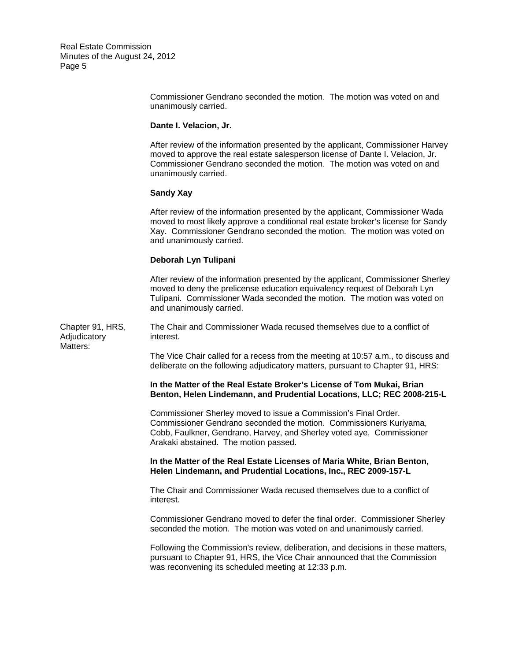> Commissioner Gendrano seconded the motion. The motion was voted on and unanimously carried.

#### **Dante I. Velacion, Jr.**

After review of the information presented by the applicant, Commissioner Harvey moved to approve the real estate salesperson license of Dante I. Velacion, Jr. Commissioner Gendrano seconded the motion. The motion was voted on and unanimously carried.

## **Sandy Xay**

After review of the information presented by the applicant, Commissioner Wada moved to most likely approve a conditional real estate broker's license for Sandy Xay. Commissioner Gendrano seconded the motion. The motion was voted on and unanimously carried.

#### **Deborah Lyn Tulipani**

After review of the information presented by the applicant, Commissioner Sherley moved to deny the prelicense education equivalency request of Deborah Lyn Tulipani. Commissioner Wada seconded the motion. The motion was voted on and unanimously carried.

Chapter 91, HRS, The Chair and Commissioner Wada recused themselves due to a conflict of Adjudicatory interest. Matters:

> The Vice Chair called for a recess from the meeting at 10:57 a.m., to discuss and deliberate on the following adjudicatory matters, pursuant to Chapter 91, HRS:

# **In the Matter of the Real Estate Broker's License of Tom Mukai, Brian Benton, Helen Lindemann, and Prudential Locations, LLC; REC 2008-215-L**

Commissioner Sherley moved to issue a Commission's Final Order. Commissioner Gendrano seconded the motion. Commissioners Kuriyama, Cobb, Faulkner, Gendrano, Harvey, and Sherley voted aye. Commissioner Arakaki abstained. The motion passed.

## **In the Matter of the Real Estate Licenses of Maria White, Brian Benton, Helen Lindemann, and Prudential Locations, Inc., REC 2009-157-L**

The Chair and Commissioner Wada recused themselves due to a conflict of interest.

Commissioner Gendrano moved to defer the final order. Commissioner Sherley seconded the motion. The motion was voted on and unanimously carried.

Following the Commission's review, deliberation, and decisions in these matters, pursuant to Chapter 91, HRS, the Vice Chair announced that the Commission was reconvening its scheduled meeting at 12:33 p.m.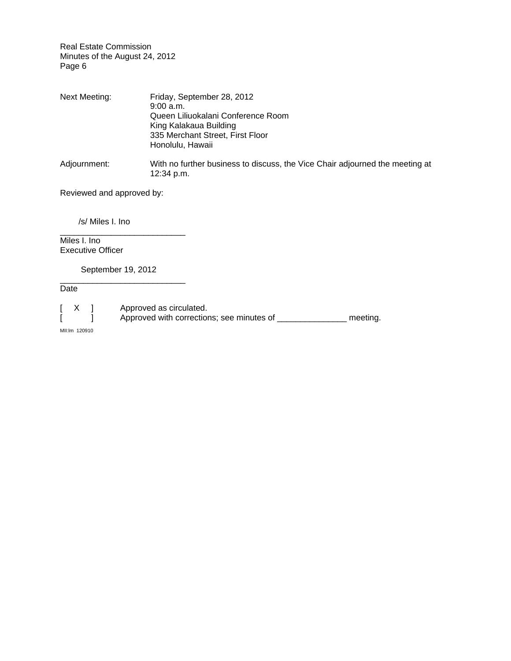| Next Meeting: | Friday, September 28, 2012                                                   |
|---------------|------------------------------------------------------------------------------|
|               | $9:00$ a.m.                                                                  |
|               | Queen Liliuokalani Conference Room                                           |
|               | King Kalakaua Building                                                       |
|               | 335 Merchant Street, First Floor                                             |
|               | Honolulu, Hawaii                                                             |
| Adjournment:  | With no further business to discuss, the Vice Chair adjourned the meeting at |
|               | 12:34 p.m.                                                                   |

Reviewed and approved by:

/s/ Miles I. Ino

Miles I. Ino Executive Officer

\_\_\_\_\_\_\_\_\_\_\_\_\_\_\_\_\_\_\_\_\_\_\_\_\_\_\_ September 19, 2012

\_\_\_\_\_\_\_\_\_\_\_\_\_\_\_\_\_\_\_\_\_\_\_\_\_\_\_

Date

[ X ] Approved as circulated. [ ] Approved with corrections; see minutes of \_\_\_\_\_\_\_\_\_\_\_\_\_\_\_\_ meeting.

MII:lm 120910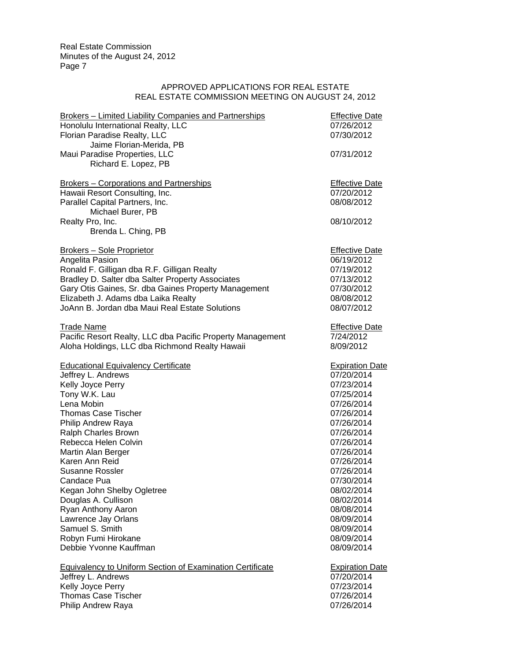# APPROVED APPLICATIONS FOR REAL ESTATE REAL ESTATE COMMISSION MEETING ON AUGUST 24, 2012

| <b>Brokers - Limited Liability Companies and Partnerships</b> | <b>Effective Date</b>  |
|---------------------------------------------------------------|------------------------|
| Honolulu International Realty, LLC                            | 07/26/2012             |
| Florian Paradise Realty, LLC                                  | 07/30/2012             |
| Jaime Florian-Merida, PB                                      |                        |
| Maui Paradise Properties, LLC                                 | 07/31/2012             |
| Richard E. Lopez, PB                                          |                        |
|                                                               |                        |
| <b>Brokers - Corporations and Partnerships</b>                | <b>Effective Date</b>  |
| Hawaii Resort Consulting, Inc.                                | 07/20/2012             |
| Parallel Capital Partners, Inc.                               | 08/08/2012             |
| Michael Burer, PB                                             |                        |
| Realty Pro, Inc.                                              | 08/10/2012             |
| Brenda L. Ching, PB                                           |                        |
| Brokers - Sole Proprietor                                     | <b>Effective Date</b>  |
| Angelita Pasion                                               | 06/19/2012             |
| Ronald F. Gilligan dba R.F. Gilligan Realty                   | 07/19/2012             |
| Bradley D. Salter dba Salter Property Associates              | 07/13/2012             |
| Gary Otis Gaines, Sr. dba Gaines Property Management          | 07/30/2012             |
| Elizabeth J. Adams dba Laika Realty                           | 08/08/2012             |
| JoAnn B. Jordan dba Maui Real Estate Solutions                | 08/07/2012             |
|                                                               |                        |
| <b>Trade Name</b>                                             | <b>Effective Date</b>  |
| Pacific Resort Realty, LLC dba Pacific Property Management    | 7/24/2012              |
| Aloha Holdings, LLC dba Richmond Realty Hawaii                | 8/09/2012              |
| <b>Educational Equivalency Certificate</b>                    | <b>Expiration Date</b> |
| Jeffrey L. Andrews                                            | 07/20/2014             |
| Kelly Joyce Perry                                             | 07/23/2014             |
| Tony W.K. Lau                                                 | 07/25/2014             |
| Lena Mobin                                                    | 07/26/2014             |
| <b>Thomas Case Tischer</b>                                    | 07/26/2014             |
| Philip Andrew Raya                                            | 07/26/2014             |
| Ralph Charles Brown                                           | 07/26/2014             |
| Rebecca Helen Colvin                                          | 07/26/2014             |
| Martin Alan Berger                                            | 07/26/2014             |
| Karen Ann Reid                                                | 07/26/2014             |
| <b>Susanne Rossler</b>                                        | 07/26/2014             |
| Candace Pua                                                   | 07/30/2014             |
| Kegan John Shelby Ogletree                                    | 08/02/2014             |
| Douglas A. Cullison                                           | 08/02/2014             |
| Ryan Anthony Aaron                                            | 08/08/2014             |
| Lawrence Jay Orlans                                           | 08/09/2014             |
| Samuel S. Smith                                               | 08/09/2014             |
| Robyn Fumi Hirokane                                           | 08/09/2014             |
| Debbie Yvonne Kauffman                                        | 08/09/2014             |
| Equivalency to Uniform Section of Examination Certificate     | <b>Expiration Date</b> |
| Jeffrey L. Andrews                                            | 07/20/2014             |
| Kelly Joyce Perry                                             | 07/23/2014             |
| <b>Thomas Case Tischer</b>                                    | 07/26/2014             |
| Philip Andrew Raya                                            | 07/26/2014             |
|                                                               |                        |